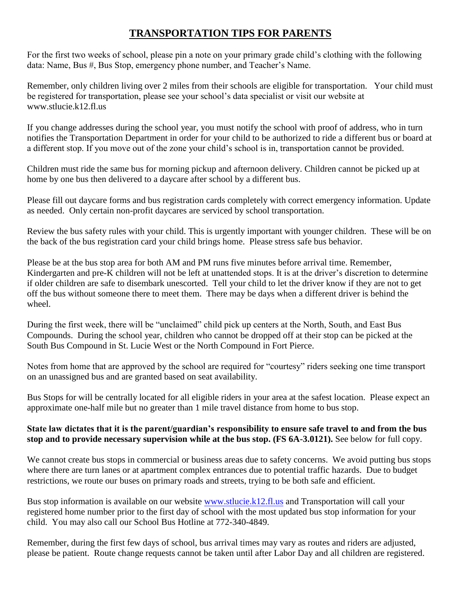## **TRANSPORTATION TIPS FOR PARENTS**

For the first two weeks of school, please pin a note on your primary grade child's clothing with the following data: Name, Bus #, Bus Stop, emergency phone number, and Teacher's Name.

Remember, only children living over 2 miles from their schools are eligible for transportation. Your child must be registered for transportation, please see your school's data specialist or visit our website at www.stlucie.k12.fl.us

If you change addresses during the school year, you must notify the school with proof of address, who in turn notifies the Transportation Department in order for your child to be authorized to ride a different bus or board at a different stop. If you move out of the zone your child's school is in, transportation cannot be provided.

Children must ride the same bus for morning pickup and afternoon delivery. Children cannot be picked up at home by one bus then delivered to a daycare after school by a different bus.

Please fill out daycare forms and bus registration cards completely with correct emergency information. Update as needed. Only certain non-profit daycares are serviced by school transportation.

Review the bus safety rules with your child. This is urgently important with younger children. These will be on the back of the bus registration card your child brings home. Please stress safe bus behavior.

Please be at the bus stop area for both AM and PM runs five minutes before arrival time. Remember, Kindergarten and pre-K children will not be left at unattended stops. It is at the driver's discretion to determine if older children are safe to disembark unescorted. Tell your child to let the driver know if they are not to get off the bus without someone there to meet them. There may be days when a different driver is behind the wheel.

During the first week, there will be "unclaimed" child pick up centers at the North, South, and East Bus Compounds. During the school year, children who cannot be dropped off at their stop can be picked at the South Bus Compound in St. Lucie West or the North Compound in Fort Pierce.

Notes from home that are approved by the school are required for "courtesy" riders seeking one time transport on an unassigned bus and are granted based on seat availability.

Bus Stops for will be centrally located for all eligible riders in your area at the safest location. Please expect an approximate one-half mile but no greater than 1 mile travel distance from home to bus stop.

## **State law dictates that it is the parent/guardian's responsibility to ensure safe travel to and from the bus stop and to provide necessary supervision while at the bus stop. (FS 6A-3.0121).** See below for full copy.

We cannot create bus stops in commercial or business areas due to safety concerns. We avoid putting bus stops where there are turn lanes or at apartment complex entrances due to potential traffic hazards. Due to budget restrictions, we route our buses on primary roads and streets, trying to be both safe and efficient.

Bus stop information is available on our website [www.stlucie.k12.fl.us](http://www.stlucie.k12.fl.us/) and Transportation will call your registered home number prior to the first day of school with the most updated bus stop information for your child. You may also call our School Bus Hotline at 772-340-4849.

Remember, during the first few days of school, bus arrival times may vary as routes and riders are adjusted, please be patient. Route change requests cannot be taken until after Labor Day and all children are registered.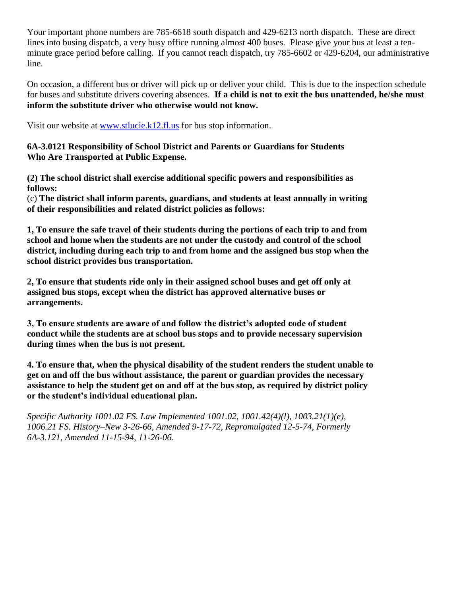Your important phone numbers are 785-6618 south dispatch and 429-6213 north dispatch. These are direct lines into busing dispatch, a very busy office running almost 400 buses. Please give your bus at least a tenminute grace period before calling. If you cannot reach dispatch, try 785-6602 or 429-6204, our administrative line.

On occasion, a different bus or driver will pick up or deliver your child. This is due to the inspection schedule for buses and substitute drivers covering absences. **If a child is not to exit the bus unattended, he/she must inform the substitute driver who otherwise would not know.** 

Visit our website at [www.stlucie.k12.fl.us](http://www.stlucie.k12.fl.us/) for bus stop information.

**6A-3.0121 Responsibility of School District and Parents or Guardians for Students Who Are Transported at Public Expense.** 

**(2) The school district shall exercise additional specific powers and responsibilities as follows:**

(c) **The district shall inform parents, guardians, and students at least annually in writing of their responsibilities and related district policies as follows:**

**1, To ensure the safe travel of their students during the portions of each trip to and from school and home when the students are not under the custody and control of the school district, including during each trip to and from home and the assigned bus stop when the school district provides bus transportation.** 

**2, To ensure that students ride only in their assigned school buses and get off only at assigned bus stops, except when the district has approved alternative buses or arrangements.** 

**3, To ensure students are aware of and follow the district's adopted code of student conduct while the students are at school bus stops and to provide necessary supervision during times when the bus is not present.** 

**4. To ensure that, when the physical disability of the student renders the student unable to get on and off the bus without assistance, the parent or guardian provides the necessary assistance to help the student get on and off at the bus stop, as required by district policy or the student's individual educational plan.**

*Specific Authority 1001.02 FS. Law Implemented 1001.02, 1001.42(4)(l), 1003.21(1)(e), 1006.21 FS. History–New 3-26-66, Amended 9-17-72, Repromulgated 12-5-74, Formerly 6A-3.121, Amended 11-15-94, 11-26-06.*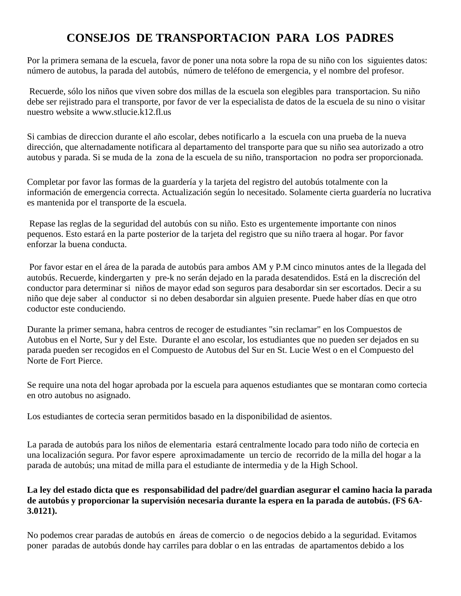## **CONSEJOS DE TRANSPORTACION PARA LOS PADRES**

Por la primera semana de la escuela, favor de poner una nota sobre la ropa de su niño con los siguientes datos: número de autobus, la parada del autobús, número de teléfono de emergencia, y el nombre del profesor.

Recuerde, sólo los niños que viven sobre dos millas de la escuela son elegibles para transportacion. Su niño debe ser rejistrado para el transporte, por favor de ver la especialista de datos de la escuela de su nino o visitar nuestro website a www.stlucie.k12.fl.us

Si cambias de direccion durante el año escolar, debes notificarlo a la escuela con una prueba de la nueva dirección, que alternadamente notificara al departamento del transporte para que su niño sea autorizado a otro autobus y parada. Si se muda de la zona de la escuela de su niño, transportacion no podra ser proporcionada.

Completar por favor las formas de la guardería y la tarjeta del registro del autobús totalmente con la información de emergencia correcta. Actualización según lo necesitado. Solamente cierta guardería no lucrativa es mantenida por el transporte de la escuela.

Repase las reglas de la seguridad del autobús con su niño. Esto es urgentemente importante con ninos pequenos. Esto estará en la parte posterior de la tarjeta del registro que su niño traera al hogar. Por favor enforzar la buena conducta.

Por favor estar en el área de la parada de autobús para ambos AM y P.M cinco minutos antes de la llegada del autobús. Recuerde, kindergarten y pre-k no serán dejado en la parada desatendidos. Está en la discreción del conductor para determinar si niños de mayor edad son seguros para desabordar sin ser escortados. Decir a su niño que deje saber al conductor si no deben desabordar sin alguien presente. Puede haber días en que otro coductor este conduciendo.

Durante la primer semana, habra centros de recoger de estudiantes "sin reclamar" en los Compuestos de Autobus en el Norte, Sur y del Este. Durante el ano escolar, los estudiantes que no pueden ser dejados en su parada pueden ser recogidos en el Compuesto de Autobus del Sur en St. Lucie West o en el Compuesto del Norte de Fort Pierce.

Se require una nota del hogar aprobada por la escuela para aquenos estudiantes que se montaran como cortecia en otro autobus no asignado.

Los estudiantes de cortecia seran permitidos basado en la disponibilidad de asientos.

La parada de autobús para los niños de elementaria estará centralmente locado para todo niño de cortecia en una localización segura. Por favor espere aproximadamente un tercio de recorrido de la milla del hogar a la parada de autobús; una mitad de milla para el estudiante de intermedia y de la High School.

## **La ley del estado dicta que es responsabilidad del padre/del guardian asegurar el camino hacia la parada de autobús y proporcionar la supervisión necesaria durante la espera en la parada de autobús. (FS 6A-3.0121).**

No podemos crear paradas de autobús en áreas de comercio o de negocios debido a la seguridad. Evitamos poner paradas de autobús donde hay carriles para doblar o en las entradas de apartamentos debido a los